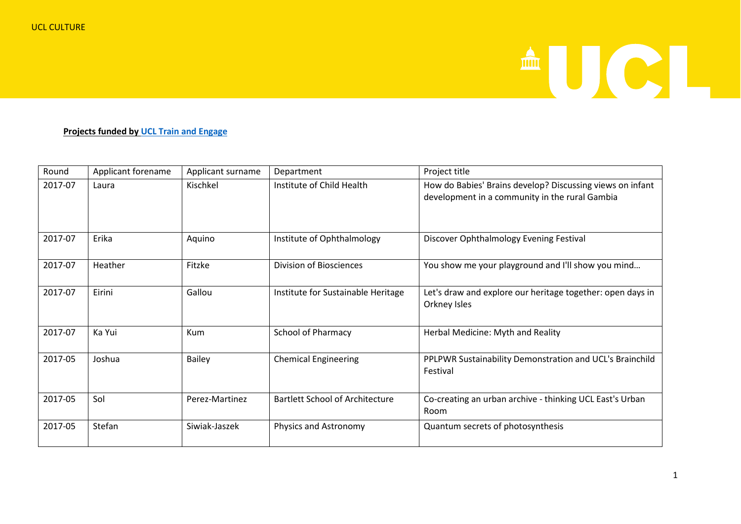## AUCI.

## **Projects funded by [UCL Train and Engage](https://www.ucl.ac.uk/culture/projects/train-and-engage)**

| Round   | Applicant forename | Applicant surname | Department                             | Project title                                                                                               |
|---------|--------------------|-------------------|----------------------------------------|-------------------------------------------------------------------------------------------------------------|
| 2017-07 | Laura              | Kischkel          | Institute of Child Health              | How do Babies' Brains develop? Discussing views on infant<br>development in a community in the rural Gambia |
| 2017-07 | Erika              | Aquino            | Institute of Ophthalmology             | Discover Ophthalmology Evening Festival                                                                     |
| 2017-07 | Heather            | Fitzke            | <b>Division of Biosciences</b>         | You show me your playground and I'll show you mind                                                          |
| 2017-07 | Eirini             | Gallou            | Institute for Sustainable Heritage     | Let's draw and explore our heritage together: open days in<br>Orkney Isles                                  |
| 2017-07 | Ka Yui             | Kum               | <b>School of Pharmacy</b>              | Herbal Medicine: Myth and Reality                                                                           |
| 2017-05 | Joshua             | <b>Bailey</b>     | <b>Chemical Engineering</b>            | PPLPWR Sustainability Demonstration and UCL's Brainchild<br>Festival                                        |
| 2017-05 | Sol                | Perez-Martinez    | <b>Bartlett School of Architecture</b> | Co-creating an urban archive - thinking UCL East's Urban<br>Room                                            |
| 2017-05 | Stefan             | Siwiak-Jaszek     | Physics and Astronomy                  | Quantum secrets of photosynthesis                                                                           |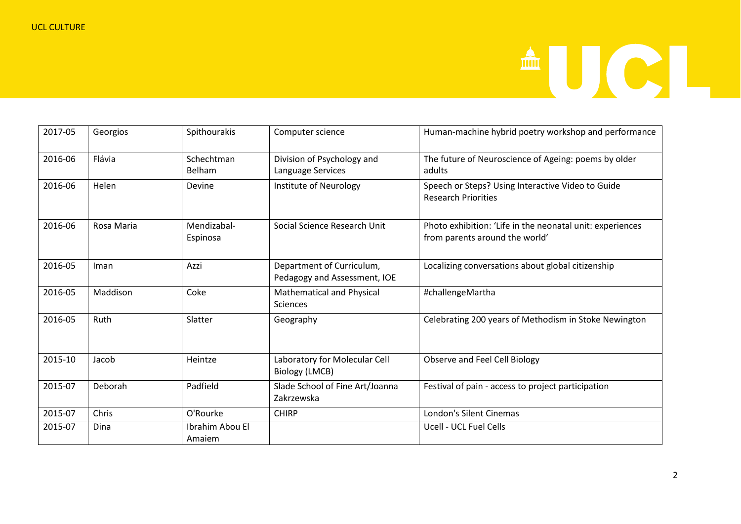

| 2017-05 | Georgios     | Spithourakis              | Computer science                                          | Human-machine hybrid poetry workshop and performance                                        |
|---------|--------------|---------------------------|-----------------------------------------------------------|---------------------------------------------------------------------------------------------|
| 2016-06 | Flávia       | Schechtman<br>Belham      | Division of Psychology and<br>Language Services           | The future of Neuroscience of Ageing: poems by older<br>adults                              |
| 2016-06 | Helen        | Devine                    | Institute of Neurology                                    | Speech or Steps? Using Interactive Video to Guide<br><b>Research Priorities</b>             |
| 2016-06 | Rosa Maria   | Mendizabal-<br>Espinosa   | Social Science Research Unit                              | Photo exhibition: 'Life in the neonatal unit: experiences<br>from parents around the world' |
| 2016-05 | Iman         | Azzi                      | Department of Curriculum,<br>Pedagogy and Assessment, IOE | Localizing conversations about global citizenship                                           |
| 2016-05 | Maddison     | Coke                      | Mathematical and Physical<br><b>Sciences</b>              | #challengeMartha                                                                            |
| 2016-05 | Ruth         | Slatter                   | Geography                                                 | Celebrating 200 years of Methodism in Stoke Newington                                       |
| 2015-10 | Jacob        | Heintze                   | Laboratory for Molecular Cell<br><b>Biology (LMCB)</b>    | Observe and Feel Cell Biology                                                               |
| 2015-07 | Deborah      | Padfield                  | Slade School of Fine Art/Joanna<br>Zakrzewska             | Festival of pain - access to project participation                                          |
| 2015-07 | <b>Chris</b> | O'Rourke                  | <b>CHIRP</b>                                              | London's Silent Cinemas                                                                     |
| 2015-07 | Dina         | Ibrahim Abou El<br>Amaiem |                                                           | Ucell - UCL Fuel Cells                                                                      |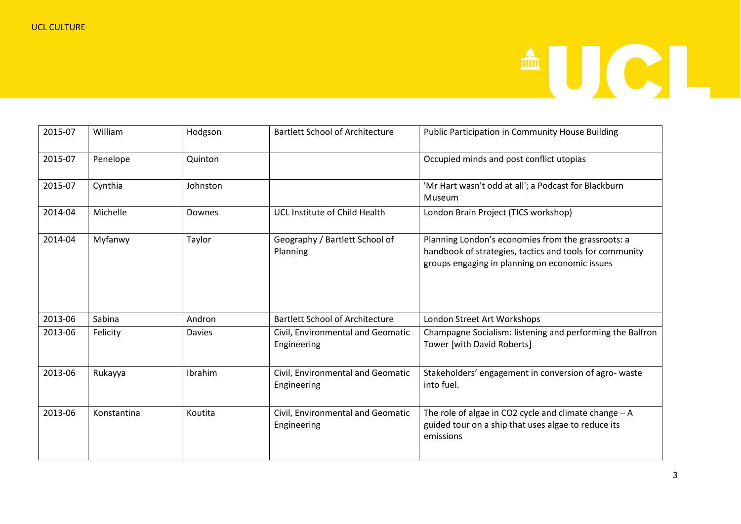

| 2015-07 | William     | Hodgson       | <b>Bartlett School of Architecture</b>           | Public Participation in Community House Building                                                                                                                |
|---------|-------------|---------------|--------------------------------------------------|-----------------------------------------------------------------------------------------------------------------------------------------------------------------|
| 2015-07 | Penelope    | Quinton       |                                                  | Occupied minds and post conflict utopias                                                                                                                        |
| 2015-07 | Cynthia     | Johnston      |                                                  | 'Mr Hart wasn't odd at all'; a Podcast for Blackburn<br>Museum                                                                                                  |
| 2014-04 | Michelle    | Downes        | UCL Institute of Child Health                    | London Brain Project (TICS workshop)                                                                                                                            |
| 2014-04 | Myfanwy     | Taylor        | Geography / Bartlett School of<br>Planning       | Planning London's economies from the grassroots: a<br>handbook of strategies, tactics and tools for community<br>groups engaging in planning on economic issues |
| 2013-06 | Sabina      | Andron        | <b>Bartlett School of Architecture</b>           | London Street Art Workshops                                                                                                                                     |
| 2013-06 | Felicity    | <b>Davies</b> | Civil, Environmental and Geomatic<br>Engineering | Champagne Socialism: listening and performing the Balfron<br>Tower [with David Roberts]                                                                         |
| 2013-06 | Rukayya     | Ibrahim       | Civil, Environmental and Geomatic<br>Engineering | Stakeholders' engagement in conversion of agro-waste<br>into fuel.                                                                                              |
| 2013-06 | Konstantina | Koutita       | Civil, Environmental and Geomatic<br>Engineering | The role of algae in CO2 cycle and climate change $- A$<br>guided tour on a ship that uses algae to reduce its<br>emissions                                     |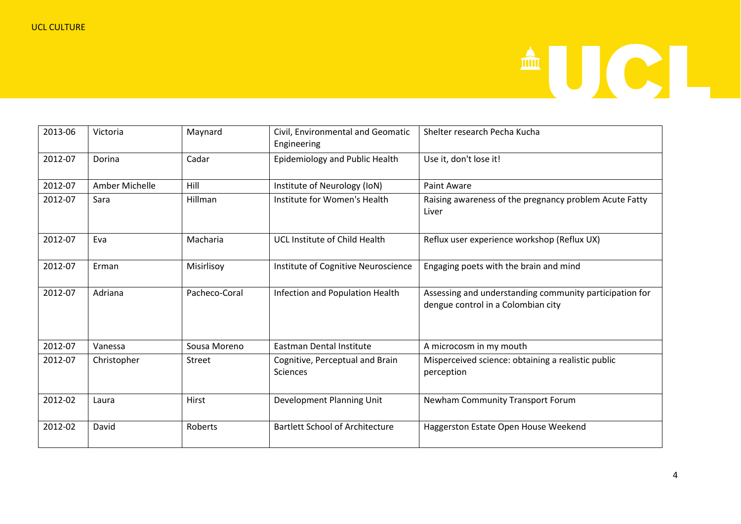## AUCL

| 2013-06 | Victoria       | Maynard        | Civil, Environmental and Geomatic<br>Engineering | Shelter research Pecha Kucha                                                                  |
|---------|----------------|----------------|--------------------------------------------------|-----------------------------------------------------------------------------------------------|
| 2012-07 | Dorina         | Cadar          | Epidemiology and Public Health                   | Use it, don't lose it!                                                                        |
| 2012-07 | Amber Michelle | Hill           | Institute of Neurology (IoN)                     | Paint Aware                                                                                   |
| 2012-07 | Sara           | Hillman        | Institute for Women's Health                     | Raising awareness of the pregnancy problem Acute Fatty<br>Liver                               |
| 2012-07 | Eva            | Macharia       | UCL Institute of Child Health                    | Reflux user experience workshop (Reflux UX)                                                   |
| 2012-07 | Erman          | Misirlisoy     | Institute of Cognitive Neuroscience              | Engaging poets with the brain and mind                                                        |
| 2012-07 | Adriana        | Pacheco-Coral  | Infection and Population Health                  | Assessing and understanding community participation for<br>dengue control in a Colombian city |
| 2012-07 | Vanessa        | Sousa Moreno   | <b>Eastman Dental Institute</b>                  | A microcosm in my mouth                                                                       |
| 2012-07 | Christopher    | <b>Street</b>  | Cognitive, Perceptual and Brain<br>Sciences      | Misperceived science: obtaining a realistic public<br>perception                              |
| 2012-02 | Laura          | Hirst          | Development Planning Unit                        | Newham Community Transport Forum                                                              |
| 2012-02 | David          | <b>Roberts</b> | <b>Bartlett School of Architecture</b>           | Haggerston Estate Open House Weekend                                                          |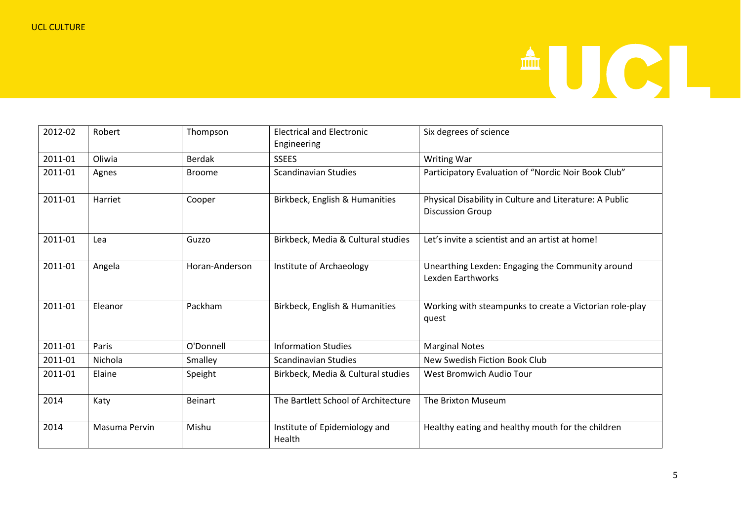

| 2012-02 | Robert        | Thompson       | <b>Electrical and Electronic</b><br>Engineering | Six degrees of science                                                             |
|---------|---------------|----------------|-------------------------------------------------|------------------------------------------------------------------------------------|
| 2011-01 | Oliwia        | <b>Berdak</b>  | <b>SSEES</b>                                    | <b>Writing War</b>                                                                 |
| 2011-01 | Agnes         | <b>Broome</b>  | <b>Scandinavian Studies</b>                     | Participatory Evaluation of "Nordic Noir Book Club"                                |
| 2011-01 | Harriet       | Cooper         | Birkbeck, English & Humanities                  | Physical Disability in Culture and Literature: A Public<br><b>Discussion Group</b> |
| 2011-01 | Lea           | Guzzo          | Birkbeck, Media & Cultural studies              | Let's invite a scientist and an artist at home!                                    |
| 2011-01 | Angela        | Horan-Anderson | Institute of Archaeology                        | Unearthing Lexden: Engaging the Community around<br><b>Lexden Earthworks</b>       |
| 2011-01 | Eleanor       | Packham        | Birkbeck, English & Humanities                  | Working with steampunks to create a Victorian role-play<br>quest                   |
| 2011-01 | Paris         | O'Donnell      | <b>Information Studies</b>                      | <b>Marginal Notes</b>                                                              |
| 2011-01 | Nichola       | Smalley        | Scandinavian Studies                            | New Swedish Fiction Book Club                                                      |
| 2011-01 | Elaine        | Speight        | Birkbeck, Media & Cultural studies              | West Bromwich Audio Tour                                                           |
| 2014    | Katy          | <b>Beinart</b> | The Bartlett School of Architecture             | The Brixton Museum                                                                 |
| 2014    | Masuma Pervin | Mishu          | Institute of Epidemiology and<br>Health         | Healthy eating and healthy mouth for the children                                  |